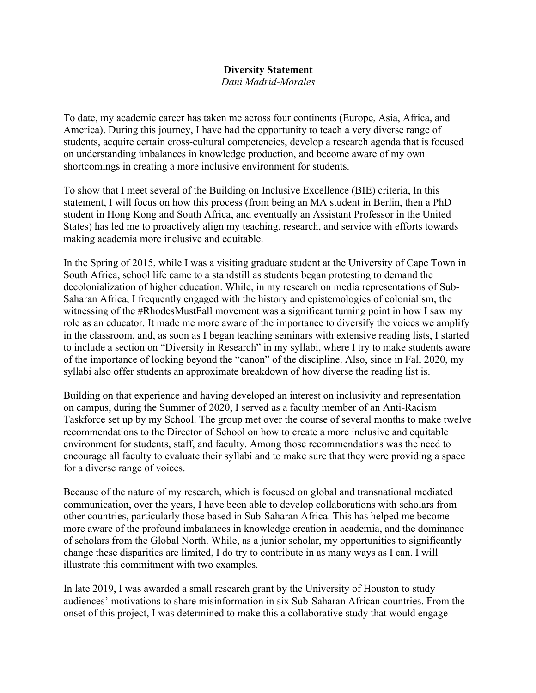## **Diversity Statement**

*Dani Madrid-Morales*

To date, my academic career has taken me across four continents (Europe, Asia, Africa, and America). During this journey, I have had the opportunity to teach a very diverse range of students, acquire certain cross-cultural competencies, develop a research agenda that is focused on understanding imbalances in knowledge production, and become aware of my own shortcomings in creating a more inclusive environment for students.

To show that I meet several of the Building on Inclusive Excellence (BIE) criteria, In this statement, I will focus on how this process (from being an MA student in Berlin, then a PhD student in Hong Kong and South Africa, and eventually an Assistant Professor in the United States) has led me to proactively align my teaching, research, and service with efforts towards making academia more inclusive and equitable.

In the Spring of 2015, while I was a visiting graduate student at the University of Cape Town in South Africa, school life came to a standstill as students began protesting to demand the decolonialization of higher education. While, in my research on media representations of Sub-Saharan Africa, I frequently engaged with the history and epistemologies of colonialism, the witnessing of the #RhodesMustFall movement was a significant turning point in how I saw my role as an educator. It made me more aware of the importance to diversify the voices we amplify in the classroom, and, as soon as I began teaching seminars with extensive reading lists, I started to include a section on "Diversity in Research" in my syllabi, where I try to make students aware of the importance of looking beyond the "canon" of the discipline. Also, since in Fall 2020, my syllabi also offer students an approximate breakdown of how diverse the reading list is.

Building on that experience and having developed an interest on inclusivity and representation on campus, during the Summer of 2020, I served as a faculty member of an Anti-Racism Taskforce set up by my School. The group met over the course of several months to make twelve recommendations to the Director of School on how to create a more inclusive and equitable environment for students, staff, and faculty. Among those recommendations was the need to encourage all faculty to evaluate their syllabi and to make sure that they were providing a space for a diverse range of voices.

Because of the nature of my research, which is focused on global and transnational mediated communication, over the years, I have been able to develop collaborations with scholars from other countries, particularly those based in Sub-Saharan Africa. This has helped me become more aware of the profound imbalances in knowledge creation in academia, and the dominance of scholars from the Global North. While, as a junior scholar, my opportunities to significantly change these disparities are limited, I do try to contribute in as many ways as I can. I will illustrate this commitment with two examples.

In late 2019, I was awarded a small research grant by the University of Houston to study audiences' motivations to share misinformation in six Sub-Saharan African countries. From the onset of this project, I was determined to make this a collaborative study that would engage